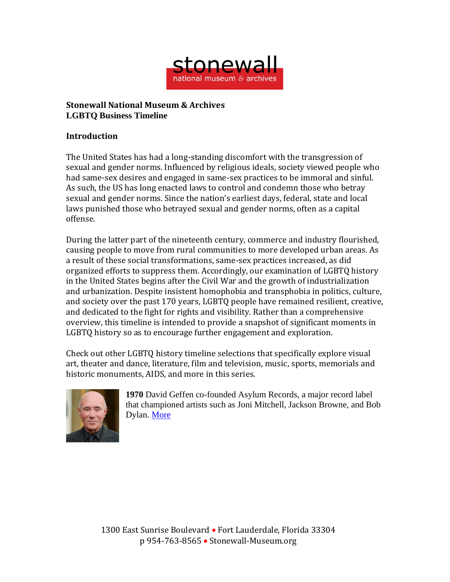

## **Stonewall National Museum & Archives LGBTQ Business Timeline**

## **Introduction**

The United States has had a long-standing discomfort with the transgression of sexual and gender norms. Influenced by religious ideals, society viewed people who had same-sex desires and engaged in same-sex practices to be immoral and sinful. As such, the US has long enacted laws to control and condemn those who betray sexual and gender norms. Since the nation's earliest days, federal, state and local laws punished those who betrayed sexual and gender norms, often as a capital offense.

During the latter part of the nineteenth century, commerce and industry flourished, causing people to move from rural communities to more developed urban areas. As a result of these social transformations, same-sex practices increased, as did organized efforts to suppress them. Accordingly, our examination of LGBTQ history in the United States begins after the Civil War and the growth of industrialization and urbanization. Despite insistent homophobia and transphobia in politics, culture, and society over the past 170 years, LGBTQ people have remained resilient, creative, and dedicated to the fight for rights and visibility. Rather than a comprehensive overview, this timeline is intended to provide a snapshot of significant moments in LGBTQ history so as to encourage further engagement and exploration.

Check out other LGBTQ history timeline selections that specifically explore visual art, theater and dance, literature, film and television, music, sports, memorials and historic monuments, AIDS, and more in this series.



**1970** David Geffen co-founded Asylum Records, a major record label that championed artists such as Joni Mitchell, Jackson Browne, and Bob Dylan. [More](https://www.nytimes.com/2016/02/21/fashion/david-geffen-new-york-new-utrecht-philanthropy.html)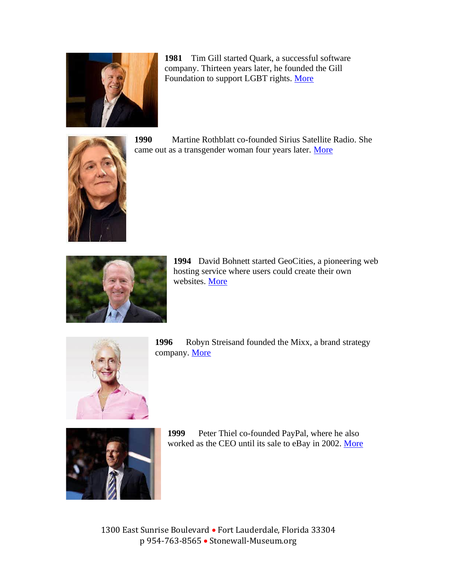

**1981** Tim Gill started Quark, a successful software company. Thirteen years later, he founded the Gill Foundation to support LGBT rights. [More](https://www.denverpost.com/2019/07/14/tim-gill-colorado-lgbtq-rights/)



**1990** Martine Rothblatt co-founded Sirius Satellite Radio. She came out as a transgender woman four years later. [More](https://www.ted.com/speakers/martine_rothblatt)



**1994** David Bohnett started GeoCities, a pioneering web hosting service where users could create their own websites. [More](https://www.foundationguide.org/philanthropists/david-c-bohnett/)



**1996** Robyn Streisand founded the Mixx, a brand strategy company. [More](https://businessequalitymagazine.com/50_above_50/robyn-streisand/)



**1999** Peter Thiel co-founded PayPal, where he also worked as the CEO until its sale to eBay in 2002. [More](https://www.npr.org/2016/07/21/486966882/i-am-proud-to-be-gay-tech-investor-peter-thiel-tells-gop-convention)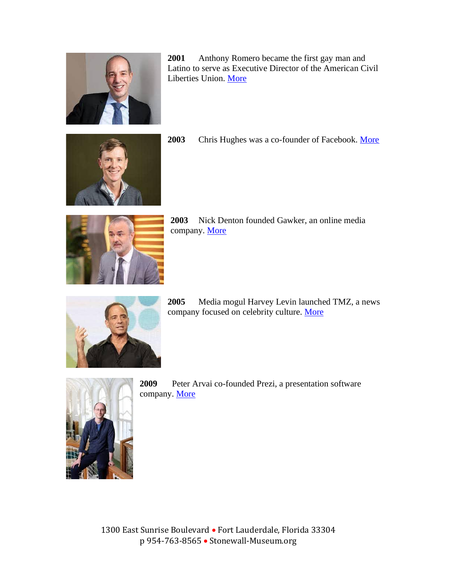

**2001** Anthony Romero became the first gay man and Latino to serve as Executive Director of the American Civil Liberties Union. [More](https://www.aclu.org/bio/anthony-d-romero)



**2003** Chris Hughes was a co-founder of Facebook. [More](https://www.vox.com/the-highlight/2020/1/15/20863236/chris-hughes-break-up-facebook-economic-security-basic-income-new-republic)



**2003** Nick Denton founded Gawker, an online media company. [More](https://www.nytimes.com/2019/07/30/business/gawker-bustle-reboot-canceled.html)



**2005** Media mogul Harvey Levin launched TMZ, a news company focused on celebrity culture. [More](https://www.huffpost.com/entry/harvey-levin-tmz-gay-los-angeles-lgbt-center_n_56ed44c7e4b09bf44a9d66cc)



**2009** Peter Arvai co-founded Prezi, a presentation software company. [More](https://www.ft.com/content/c122dcc4-cc73-11e8-8d0b-a6539b949662)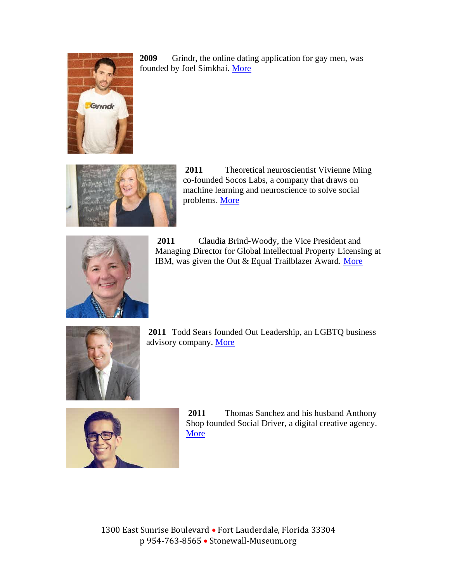

**2009** Grindr, the online dating application for gay men, was founded by Joel Simkhai. [More](https://www.nytimes.com/2014/12/14/fashion/the-sex-education-of-grindrs-joel-simkhai.html)



**2011** Theoretical neuroscientist Vivienne Ming co-founded Socos Labs, a company that draws on machine learning and neuroscience to solve social problems. [More](https://socos.org/keynotes)



**2011** Claudia Brind-Woody, the Vice President and Managing Director for Global Intellectual Property Licensing at IBM, was given the Out & Equal Trailblazer Award. [More](https://outleadership.com/outleader/claudia-brind-woody/)



**2011** Todd Sears founded Out Leadership, an LGBTQ business advisory company. [More](https://www.salt.org/bio-sears-todd)



**2011** Thomas Sanchez and his husband Anthony Shop founded Social Driver, a digital creative agency. [More](https://www.socialdriver.com/posts/social-driver-ceo-thomas-sanchez-elected-as-an-officer-of-the-trevor-project)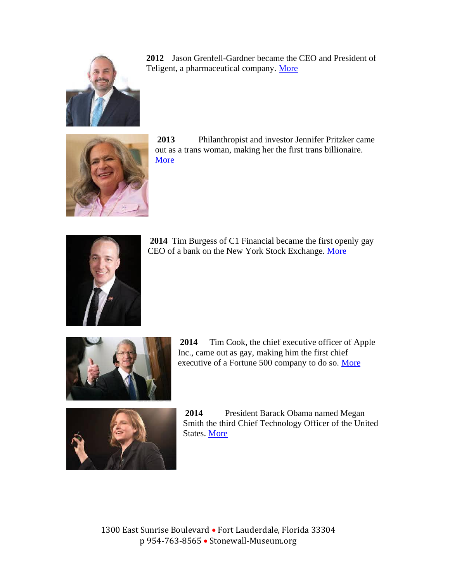

**2012** Jason Grenfell-Gardner became the CEO and President of Teligent, a pharmaceutical company. [More](https://www.nytimes.com/2014/09/06/business/two-publicly-gay-men-buck-a-trend-in-the-ceo-office.html)



**2013** Philanthropist and investor Jennifer Pritzker came out as a trans woman, making her the first trans billionaire. [More](https://www.vanityfair.com/news/2019/06/why-billionaire-republican-donor-jennifer-pritzker-is-abandoning-trump-after-coming-out-as-trans)



**2014** Tim Burgess of C1 Financial became the first openly gay CEO of a bank on the New York Stock Exchange. [More](https://www.nytimes.com/2014/09/06/business/two-publicly-gay-men-buck-a-trend-in-the-ceo-office.html)



**2014** Tim Cook, the chief executive officer of Apple Inc., came out as gay, making him the first chief executive of a Fortune 500 company to do so. [More](https://www.cnn.com/2018/10/24/tech/tim-cook-gay-apple/index.html)



**2014** President Barack Obama named Megan Smith the third Chief Technology Officer of the United States. [More](https://www.npr.org/sections/alltechconsidered/2014/11/04/360430620/from-silicon-valley-to-white-house-new-u-s-tech-chief-makes-change)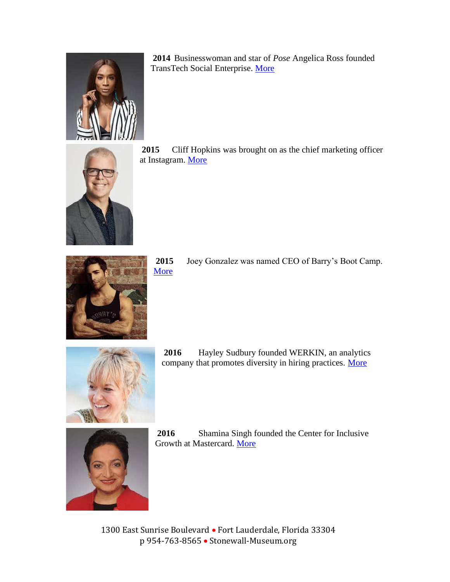

**2014** Businesswoman and star of *Pose* Angelica Ross founded TransTech Social Enterprise. [More](https://www.transtechsocial.org/about-the-company/)



**2015** Cliff Hopkins was brought on as the chief marketing officer at Instagram. [More](https://www.cliffhopkinsproductions.com/about)



**2015** Joey Gonzalez was named CEO of Barry's Boot Camp. [More](https://www.menshealth.com/fitness/a23653404/barrys-bootcamp-ceo-workout/)



**2016** Hayley Sudbury founded WERKIN, an analytics company that promotes diversity in hiring practices. [More](https://getwerkin.com/our-story)



**2016** Shamina Singh founded the Center for Inclusive Growth at Mastercard. [More](https://www.mastercardcenter.org/our-team/shamina-singh)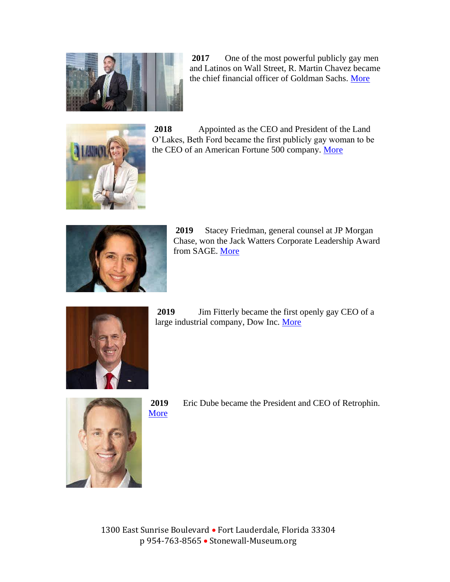

**2017** One of the most powerful publicly gay men and Latinos on Wall Street, R. Martin Chavez became the chief financial officer of Goldman Sachs. [More](https://www.nytimes.com/2016/04/03/business/dealbook/goldmans-tech-chief-pushes-the-bank-to-be-more-open-like-him.html)



**2018** Appointed as the CEO and President of the Land O'Lakes, Beth Ford became the first publicly gay woman to be the CEO of an American Fortune 500 company. [More](https://www.washingtonblade.com/2018/07/30/45469841/)



**2019** Stacey Friedman, general counsel at JP Morgan Chase, won the Jack Watters Corporate Leadership Award from SAGE. [More](https://www.sageusa.org/stacey-freidman-addresses-the-lgbt-community-we-can-all-do-more/)



**2019** Jim Fitterly became the first openly gay CEO of a large industrial company, Dow Inc. [More](https://www.bloomberg.com/news/features/2019-03-20/how-dow-chemical-got-woke)



**2019** Eric Dube became the President and CEO of Retrophin. [More](https://www.aidsunited.org/The-Board-of-Trustees/Eric-Dube.aspx)